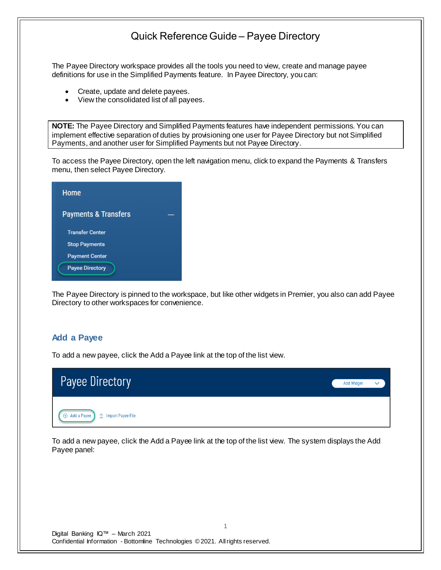The Payee Directory workspace provides all the tools you need to view, create and manage payee definitions for use in the Simplified Payments feature. In Payee Directory, you can:

- Create, update and delete payees.
- View the consolidated list of all payees.

**NOTE:** The Payee Directory and Simplified Payments features have independent permissions. You can implement effective separation of duties by provisioning one user for Payee Directory but not Simplified Payments, and another user for Simplified Payments but not Payee Directory.

To access the Payee Directory, open the left navigation menu, click to expand the Payments & Transfers menu, then select Payee Directory.

| Home                            |  |
|---------------------------------|--|
| <b>Payments &amp; Transfers</b> |  |
| <b>Transfer Center</b>          |  |
| <b>Stop Payments</b>            |  |
| <b>Payment Center</b>           |  |
| <b>Payee Directory</b>          |  |

The Payee Directory is pinned to the workspace, but like other widgets in Premier, you also can add Payee Directory to other workspaces for convenience.

### **Add a Payee**

To add a new payee, click the Add a Payee link at the top of the list view.



To add a new payee, click the Add a Payee link at the top of the list view. The system displays the Add Payee panel:

1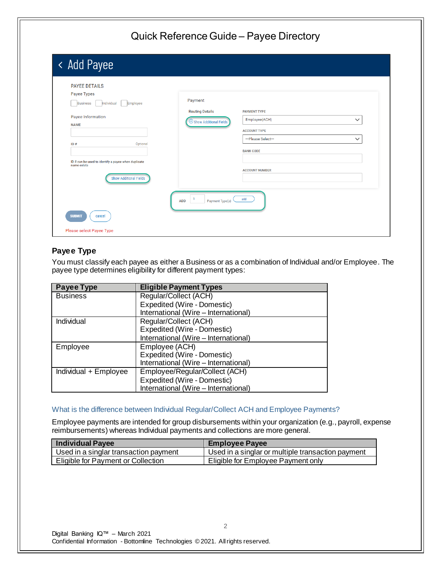| < Add Payee                                                        |                                    |                       |              |
|--------------------------------------------------------------------|------------------------------------|-----------------------|--------------|
| <b>PAYEE DETAILS</b>                                               |                                    |                       |              |
| Payee Types<br>Individual<br>Employee<br><b>Business</b>           | Payment                            |                       |              |
|                                                                    | <b>Routing Details</b>             | <b>PAYMENT TYPE</b>   |              |
| Payee Information                                                  | $\bigoplus$ Show Additional Fields | Employee(ACH)         | $\checkmark$ |
| <b>NAME</b>                                                        |                                    | <b>ACCOUNT TYPE</b>   |              |
| ID#<br>Optional                                                    |                                    | ---Please Select---   | $\checkmark$ |
|                                                                    |                                    | <b>BANK CODE</b>      |              |
| ID # can be used to identify a payee when duplicate<br>name exists |                                    |                       |              |
|                                                                    |                                    | <b>ACCOUNT NUMBER</b> |              |
| <b>Show Additional Fields</b>                                      |                                    |                       |              |
|                                                                    |                                    |                       |              |

## **Payee Type**

You must classify each payee as either a Business or as a combination of Individual and/or Employee. The payee type determines eligibility for different payment types:

| Payee Type            | <b>Eligible Payment Types</b>        |
|-----------------------|--------------------------------------|
| <b>Business</b>       | Regular/Collect (ACH)                |
|                       | Expedited (Wire - Domestic)          |
|                       | International (Wire - International) |
| Individual            | Regular/Collect (ACH)                |
|                       | Expedited (Wire - Domestic)          |
|                       | International (Wire - International) |
| Employee              | Employee (ACH)                       |
|                       | Expedited (Wire - Domestic)          |
|                       | International (Wire - International) |
| Individual + Employee | Employee/Regular/Collect (ACH)       |
|                       | Expedited (Wire - Domestic)          |
|                       | International (Wire - International) |

#### What is the difference between Individual Regular/Collect ACH and Employee Payments?

Employee payments are intended for group disbursements within your organization (e.g., payroll, expense reimbursements) whereas Individual payments and collections are more general.

| <b>Individual Payee</b>               | <b>Employee Payee</b>                             |
|---------------------------------------|---------------------------------------------------|
| Used in a singlar transaction payment | Used in a singlar or multiple transaction payment |
| Eligible for Payment or Collection    | Eligible for Employee Payment only                |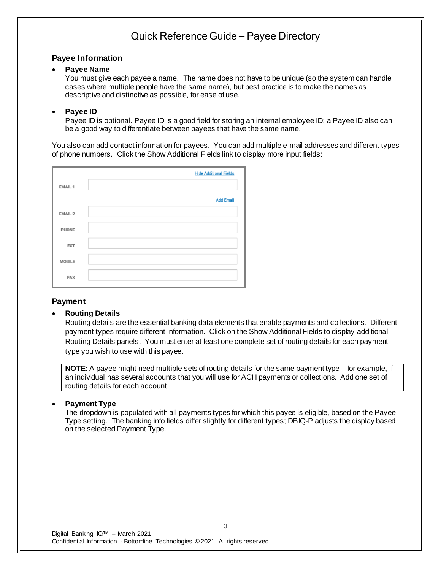#### **Payee Information**

### • **Payee Name**

You must give each payee a name. The name does not have to be unique (so the system can handle cases where multiple people have the same name), but best practice is to make the names as descriptive and distinctive as possible, for ease of use.

### • **Payee ID**

Payee ID is optional. Payee ID is a good field for storing an internal employee ID; a Payee ID also can be a good way to differentiate between payees that have the same name.

You also can add contact information for payees. You can add multiple e-mail addresses and different types of phone numbers. Click the Show Additional Fields link to display more input fields:

|            | <b>Hide Additional Fields</b> |
|------------|-------------------------------|
| EMAIL 1    |                               |
|            | <b>Add Email</b>              |
| EMAIL 2    |                               |
| PHONE      |                               |
| <b>EXT</b> |                               |
| MOBILE     |                               |
| <b>FAX</b> |                               |

### **Payment**

### • **Routing Details**

Routing details are the essential banking data elements that enable payments and collections. Different payment types require different information. Click on the Show Additional Fields to display additional Routing Details panels. You must enter at least one complete set of routing details for each payment type you wish to use with this payee.

**NOTE:** A payee might need multiple sets of routing details for the same payment type – for example, if an individual has several accounts that you will use for ACH payments or collections. Add one set of routing details for each account.

### • **Payment Type**

The dropdown is populated with all payments types for which this payee is eligible, based on the Payee Type setting. The banking info fields differ slightly for different types; DBIQ-P adjusts the display based on the selected Payment Type.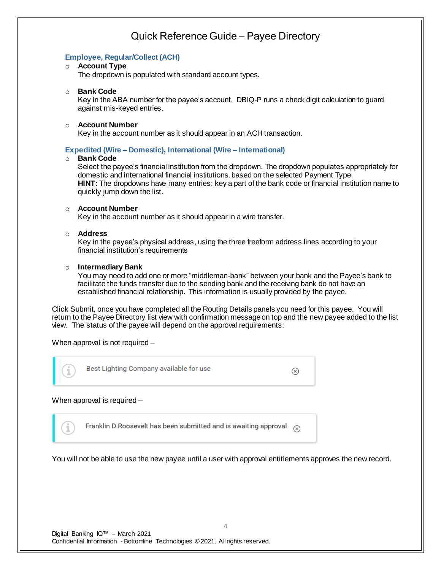### **Employee, Regular/Collect (ACH)**

#### o **Account Type**

The dropdown is populated with standard account types.

#### o **Bank Code**

Key in the ABA number for the payee's account. DBIQ-P runs a check digit calculation to guard against mis-keyed entries.

#### o **Account Number**

Key in the account number as it should appear in an ACH transaction.

#### **Expedited (Wire – Domestic), International (Wire – International)**

#### o **Bank Code**

Select the payee's financial institution from the dropdown. The dropdown populates appropriately for domestic and international financial institutions, based on the selected Payment Type. **HINT:** The dropdowns have many entries; key a part of the bank code or financial institution name to quickly jump down the list.

#### o **Account Number**

Key in the account number as it should appear in a wire transfer.

#### o **Address**

Key in the payee's physical address, using the three freeform address lines according to your financial institution's requirements

#### o **Intermediary Bank**

You may need to add one or more "middleman-bank" between your bank and the Payee's bank to facilitate the funds transfer due to the sending bank and the receiving bank do not have an established financial relationship. This information is usually provided by the payee.

Click Submit, once you have completed all the Routing Details panels you need for this payee. You will return to the Payee Directory list view with confirmation message on top and the new payee added to the list view. The status of the payee will depend on the approval requirements:

When approval is not required –



Franklin D.Roosevelt has been submitted and is awaiting approval  $\alpha$ 

You will not be able to use the new payee until a user with approval entitlements approves the new record.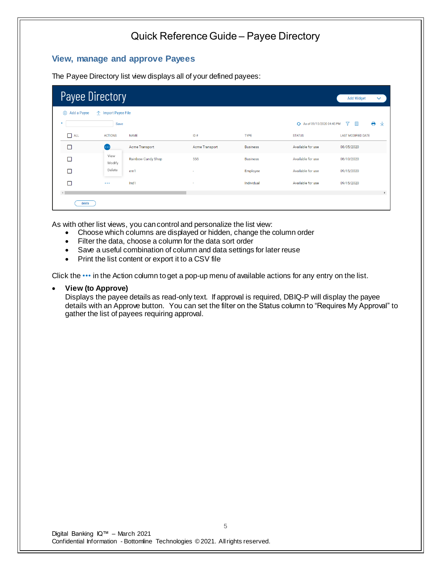### **View, manage and approve Payees**

The Payee Directory list view displays all of your defined payees:

| <b>Payee Directory</b> |                     |                    |                       |                 |                             | <b>Add Widget</b><br>$\checkmark$ |  |
|------------------------|---------------------|--------------------|-----------------------|-----------------|-----------------------------|-----------------------------------|--|
| Add a Payee            | ← Import Payee File |                    |                       |                 |                             |                                   |  |
| ٠                      | Save                |                    |                       |                 | + As of 09/15/2020 04:45 PM | A<br>Y<br>m<br>⊻                  |  |
| $\Box$ ALL             | <b>ACTIONS</b>      | <b>NAME</b>        | ID#                   | <b>TYPE</b>     | <b>STATUS</b>               | <b>LAST MODIFIED DATE</b>         |  |
| П                      | œ                   | Acme Transport     | <b>Acme Transport</b> | <b>Business</b> | Available for use           | 08/05/2020                        |  |
| п                      | View<br>Modify      | Rainbow Candy Shop | 555                   | <b>Business</b> | Available for use           | 08/10/2020                        |  |
| П                      | Delete              | em1                | ٠                     | Employee        | Available for use           | 09/15/2020                        |  |
| П                      | $\sim$ $\sim$       | Ind1               | ٠                     | Individual      | Available for use           | 09/15/2020                        |  |
|                        |                     |                    |                       |                 |                             | $\blacktriangleright$             |  |
| delete                 |                     |                    |                       |                 |                             |                                   |  |

As with other list views, you can control and personalize the list view:

- Choose which columns are displayed or hidden, change the column order
- Filter the data, choose a column for the data sort order
- Save a useful combination of column and data settings for later reuse
- Print the list content or export it to a CSV file

Click the ••• in the Action column to get a pop-up menu of available actions for any entry on the list.

• **View (to Approve)**

Displays the payee details as read-only text. If approval is required, DBIQ-P will display the payee details with an Approve button. You can set the filter on the Status column to "Requires My Approval" to gather the list of payees requiring approval.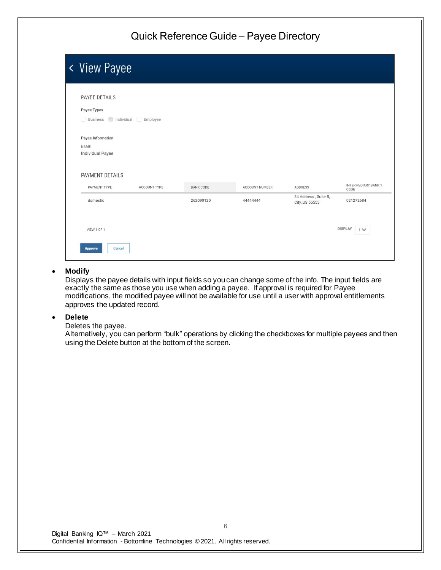| < View Payee                                           |              |                  |                |                                        |                                    |
|--------------------------------------------------------|--------------|------------------|----------------|----------------------------------------|------------------------------------|
| PAYEE DETAILS<br>Payee Types<br>Business<br>Individual | Employee     |                  |                |                                        |                                    |
| Payee Information<br>NAME<br><b>Individual Payee</b>   |              |                  |                |                                        |                                    |
| PAYMENT DETAILS                                        |              |                  |                |                                        |                                    |
| PAYMENT TYPE                                           | ACCOUNT TYPE | <b>BANK CODE</b> | ACCOUNT NUMBER | <b>ADDRESS</b>                         | <b>INTERMEDIARY BANK 1</b><br>CODE |
| domestic                                               |              | 262090120        | 4444444        | 34 Address, Suite B,<br>City, US 55555 | 021272684                          |
| VIEW 1 OF 1<br>Cancel<br><b>Approve</b>                |              |                  |                |                                        | <b>DISPLAY</b><br>1 <sup>4</sup>   |

#### • **Modify**

Displays the payee details with input fields so you can change some of the info. The input fields are exactly the same as those you use when adding a payee. If approval is required for Payee modifications, the modified payee will not be available for use until a user with approval entitlements approves the updated record.

#### • **Delete**

Deletes the payee.

Alternatively, you can perform "bulk" operations by clicking the checkboxes for multiple payees and then using the Delete button at the bottom of the screen.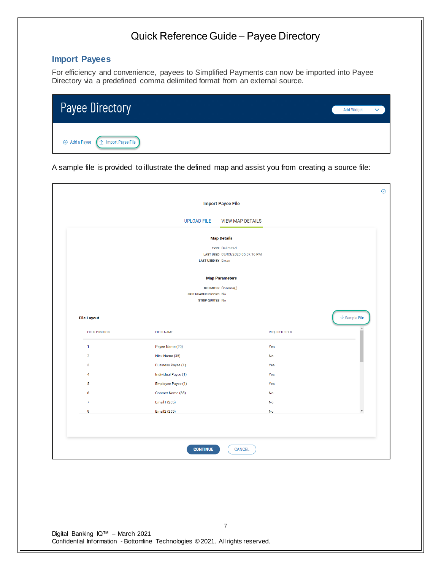## **Import Payees**

For efficiency and convenience, payees to Simplified Payments can now be imported into Payee Directory via a predefined comma delimited format from an external source.

| <b>Payee Directory</b>                                                                                             | <b>Add Widget</b> | $\checkmark$ |
|--------------------------------------------------------------------------------------------------------------------|-------------------|--------------|
| $\left[\begin{array}{ccc} \mathbf{\hat{}} & \mathbf{\hat{}} \end{array}\right]$ Import Payee File<br>+ Add a Payee |                   |              |

A sample file is provided to illustrate the defined map and assist you from creating a source file:

|                       |                                                 | <b>Import Payee File</b>                                  |                       |                                        |
|-----------------------|-------------------------------------------------|-----------------------------------------------------------|-----------------------|----------------------------------------|
|                       | <b>UPLOAD FILE</b>                              | <b>VIEW MAP DETAILS</b>                                   |                       |                                        |
|                       |                                                 | <b>Map Details</b>                                        |                       |                                        |
|                       | <b>LAST USED BY Ewan</b>                        | <b>TYPE Delimited</b><br>LAST USED 09/03/2020 05:57:16 PM |                       |                                        |
|                       |                                                 | <b>Map Parameters</b>                                     |                       |                                        |
|                       | SKIP HEADER RECORD No<br><b>STRIP QUOTES No</b> | DELIMITER Comma(,)                                        |                       |                                        |
| <b>File Layout</b>    |                                                 |                                                           |                       | $\underline{\updownarrow}$ Sample File |
| <b>FIELD POSITION</b> | <b>FIELD NAME</b>                               |                                                           | <b>REQUIRED FIELD</b> |                                        |
| $\mathbf{1}$          | Payee Name (20)                                 |                                                           | Yes                   |                                        |
| $\overline{2}$        | Nick Name (35)                                  |                                                           | No                    |                                        |
| 3                     | <b>Business Payee (1)</b>                       |                                                           | Yes                   |                                        |
| 4                     | Individual Payee (1)                            |                                                           | Yes                   |                                        |
| 5                     | Employee Payee (1)                              |                                                           | Yes                   |                                        |
| 6                     | Contact Name (35)                               |                                                           | No                    |                                        |
| $\overline{7}$        | Email1 (255)                                    |                                                           | <b>No</b>             |                                        |
|                       | Email <sub>2</sub> (255)                        |                                                           | No                    | $\overline{\phantom{a}}$               |

Digital Banking IQ™ – March 2021 Confidential Information - Bottomline Technologies © 2021. Allrights reserved.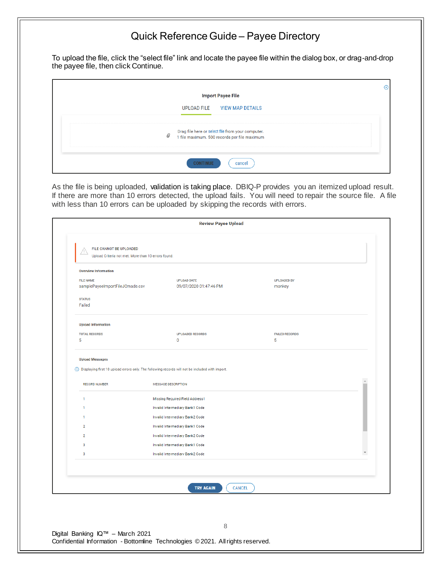To upload the file, click the "select file" link and locate the payee file within the dialog box, or drag-and-drop the payee file, then click Continue.

| <b>Import Payee File</b>                                                                                                            |  |
|-------------------------------------------------------------------------------------------------------------------------------------|--|
| UPLOAD FILE VIEW MAP DETAILS                                                                                                        |  |
| Drag file here or select file from your computer.<br>1 file maximum. 500 records per file maximum<br>------------------------------ |  |
| cancel                                                                                                                              |  |

As the file is being uploaded, validation is taking place. DBIQ-P provides you an itemized upload result. If there are more than 10 errors detected, the upload fails. You will need to repair the source file. A file with less than 10 errors can be uploaded by skipping the records with errors.

| <b>FILE NAME</b>                      |                                                                    |                       |   |
|---------------------------------------|--------------------------------------------------------------------|-----------------------|---|
|                                       | <b>UPLOAD DATE</b>                                                 | <b>UPLOADED BY</b>    |   |
| samplePayeeImportFileJCmade.csv       | 09/07/2020 01:47:46 PM                                             | monkey                |   |
| <b>STATUS</b>                         |                                                                    |                       |   |
| Failed                                |                                                                    |                       |   |
| <b>Upload Information</b>             |                                                                    |                       |   |
| <b>TOTAL RECORDS</b>                  | <b>UPLOADED RECORDS</b>                                            | <b>FAILED RECORDS</b> |   |
| 5                                     | 0                                                                  | 5                     |   |
|                                       | Invalid Intermediary Bank2 Code                                    |                       |   |
| 1<br>$\overline{2}$<br>$\overline{2}$ | Invalid Intermediary Bank1 Code                                    |                       |   |
| 3                                     | Invalid Intermediary Bank2 Code<br>Invalid Intermediary Bank1 Code |                       |   |
| 3                                     | Invalid Intermediary Bank2 Code                                    |                       | Y |
|                                       |                                                                    |                       |   |